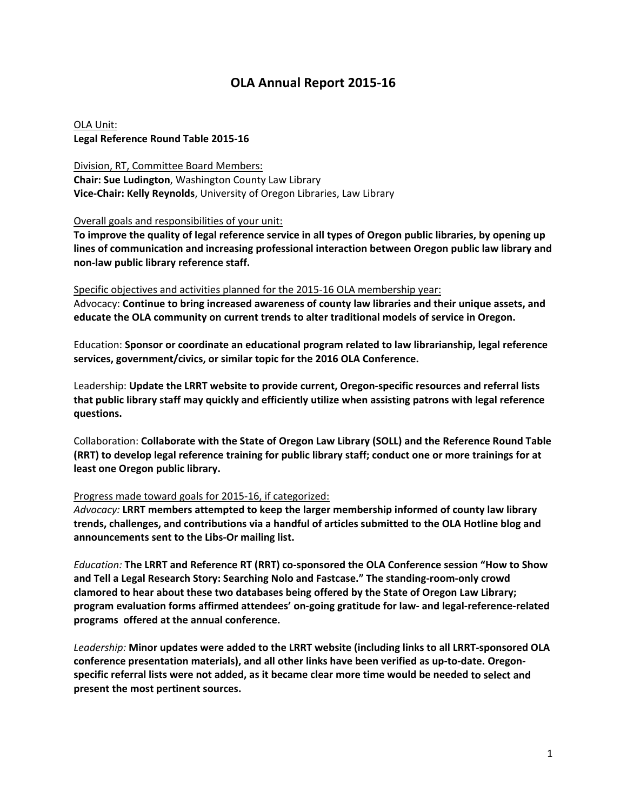# **OLA Annual Report 2015‐16**

OLA Unit: **Legal Reference Round Table 2015‐16**

Division, RT, Committee Board Members: **Chair: Sue Ludington**, Washington County Law Library **Vice‐Chair: Kelly Reynolds**, University of Oregon Libraries, Law Library

Overall goals and responsibilities of your unit:

To improve the quality of legal reference service in all types of Oregon public libraries, by opening up **lines of communication and increasing professional interaction between Oregon public law library and non‐law public library reference staff.**

### Specific objectives and activities planned for the 2015‐16 OLA membership year:

Advocacy: **Continue to bring increased awareness of county law libraries and their unique assets, and educate the OLA community on current trends to alter traditional models of service in Oregon.**

Education: **Sponsor or coordinate an educational program related to law librarianship, legal reference services, government/civics, or similar topic for the 2016 OLA Conference.**

Leadership: **Update the LRRT website to provide current, Oregon‐specific resources and referral lists that public library staff may quickly and efficiently utilize when assisting patrons with legal reference questions.**

Collaboration: **Collaborate with the State of Oregon Law Library (SOLL) and the Reference Round Table (RRT) to develop legal reference training for public library staff; conduct one or more trainings for at least one Oregon public library.**

#### Progress made toward goals for 2015‐16, if categorized:

*Advocacy:* **LRRT members attempted to keep the larger membership informed of county law library trends, challenges, and contributions via a handful of articles submitted to the OLA Hotline blog and announcements sent to the Libs‐Or mailing list.**

*Education:* **The LRRT and Reference RT (RRT) co‐sponsored the OLA Conference session "How to Show and Tell a Legal Research Story: Searching Nolo and Fastcase." The standing‐room‐only crowd clamored to hear about these two databases being offered by the State of Oregon Law Library;** program evaluation forms affirmed attendees' on-going gratitude for law- and legal-reference-related **programs offered at the annual conference.**

*Leadership:* **Minor updates were added to the LRRT website (including links to all LRRT‐sponsored OLA conference presentation materials), and all other links have been verified as up‐to‐date. Oregon‐ specific referral lists were not added, as it became clear more time would be needed to select and present the most pertinent sources.**